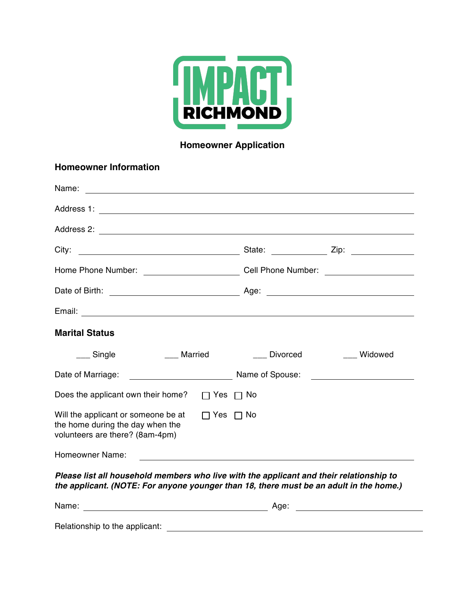

# **Homeowner Application**

| <b>Homeowner Information</b>                                                                                                                                                      |          |                                                                                                                       |
|-----------------------------------------------------------------------------------------------------------------------------------------------------------------------------------|----------|-----------------------------------------------------------------------------------------------------------------------|
| Name:<br><u> 1980 - John Stein, Amerikaansk politiker (</u>                                                                                                                       |          |                                                                                                                       |
|                                                                                                                                                                                   |          |                                                                                                                       |
|                                                                                                                                                                                   |          |                                                                                                                       |
|                                                                                                                                                                                   |          |                                                                                                                       |
| Home Phone Number: ________________________________Cell Phone Number: ______________________________                                                                              |          |                                                                                                                       |
|                                                                                                                                                                                   |          |                                                                                                                       |
|                                                                                                                                                                                   |          |                                                                                                                       |
| <b>Marital Status</b>                                                                                                                                                             |          |                                                                                                                       |
| ___ Single<br>Married                                                                                                                                                             | Divorced | Widowed                                                                                                               |
| Date of Marriage:<br><b>Example 2018</b> Name of Spouse:                                                                                                                          |          | <u> 1980 - Jan Samuel Barbara, político establecera en la propia de la propia de la propia de la propia de la pro</u> |
| Does the applicant own their home? $\Box$ Yes $\Box$ No                                                                                                                           |          |                                                                                                                       |
| Will the applicant or someone be at<br>$\Box$ Yes $\Box$ No<br>the home during the day when the<br>volunteers are there? (8am-4pm)                                                |          |                                                                                                                       |
| Homeowner Name:                                                                                                                                                                   |          |                                                                                                                       |
| Please list all household members who live with the applicant and their relationship to<br>the applicant. (NOTE: For anyone younger than 18, there must be an adult in the home.) |          |                                                                                                                       |

| Name:                          | Age: |  |
|--------------------------------|------|--|
| Relationship to the applicant: |      |  |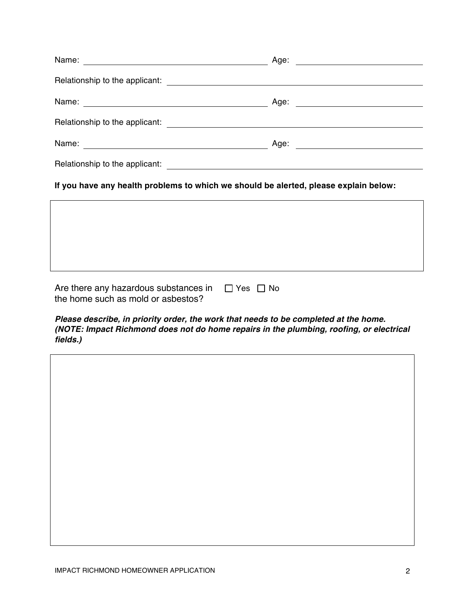| Name:                                                                                                                                                                                                                            | Age:                                                  |  |
|----------------------------------------------------------------------------------------------------------------------------------------------------------------------------------------------------------------------------------|-------------------------------------------------------|--|
| Relationship to the applicant:<br>and the applicant:<br>and the second contract of the second state of the second state of the second state of the second state of the second state of the second state of the second state of t |                                                       |  |
| Name: <u>______________________</u>                                                                                                                                                                                              | Age:<br><u> 1980 - Jan Barbara Barbara, maso a se</u> |  |
| Relationship to the applicant:                                                                                                                                                                                                   | <u> 1980 - Jan Samuel Barbara, martin a</u>           |  |
| Name:                                                                                                                                                                                                                            | Age:                                                  |  |
| Relationship to the applicant:                                                                                                                                                                                                   |                                                       |  |

**If you have any health problems to which we should be alerted, please explain below:**

| Are there any hazardous substances in | $\Box$ Yes $\Box$ No |  |
|---------------------------------------|----------------------|--|
| the home such as mold or asbestos?    |                      |  |

*Please describe, in priority order, the work that needs to be completed at the home. (NOTE: Impact Richmond does not do home repairs in the plumbing, roofing, or electrical fields.)*

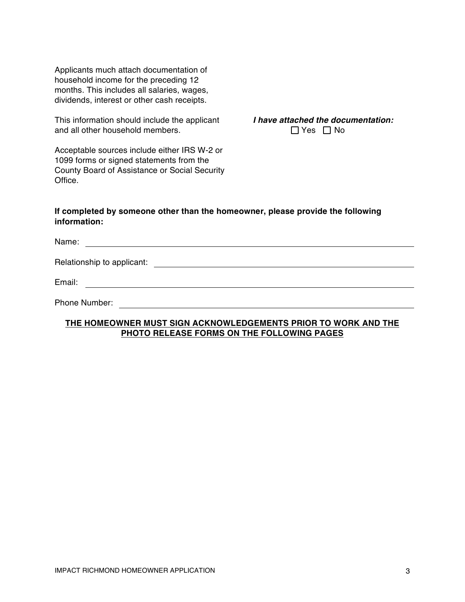Applicants much attach documentation of household income for the preceding 12 months. This includes all salaries, wages, dividends, interest or other cash receipts.

This information should include the applicant and all other household members.

*I have attached the documentation:*  $\Box$  Yes  $\Box$  No

Acceptable sources include either IRS W-2 or 1099 forms or signed statements from the County Board of Assistance or Social Security Office.

#### **If completed by someone other than the homeowner, please provide the following information:**

Name: Relationship to applicant:  $\qquad \qquad \qquad \qquad$ Email:

Phone Number: The Contract of the Contract of the Contract of the Contract of the Contract of the Contract of the Contract of the Contract of the Contract of the Contract of the Contract of the Contract of the Contract of

### **THE HOMEOWNER MUST SIGN ACKNOWLEDGEMENTS PRIOR TO WORK AND THE PHOTO RELEASE FORMS ON THE FOLLOWING PAGES**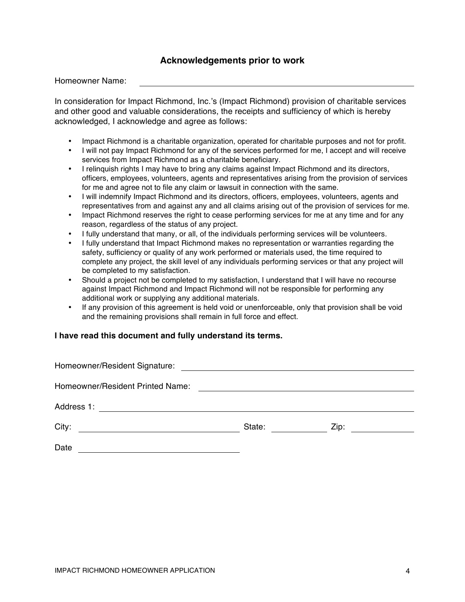## **Acknowledgements prior to work**

Homeowner Name:

In consideration for Impact Richmond, Inc.'s (Impact Richmond) provision of charitable services and other good and valuable considerations, the receipts and sufficiency of which is hereby acknowledged, I acknowledge and agree as follows:

- Impact Richmond is a charitable organization, operated for charitable purposes and not for profit.
- I will not pay Impact Richmond for any of the services performed for me, I accept and will receive services from Impact Richmond as a charitable beneficiary.
- I relinquish rights I may have to bring any claims against Impact Richmond and its directors, officers, employees, volunteers, agents and representatives arising from the provision of services for me and agree not to file any claim or lawsuit in connection with the same.
- I will indemnify Impact Richmond and its directors, officers, employees, volunteers, agents and representatives from and against any and all claims arising out of the provision of services for me.
- Impact Richmond reserves the right to cease performing services for me at any time and for any reason, regardless of the status of any project.
- I fully understand that many, or all, of the individuals performing services will be volunteers.
- I fully understand that Impact Richmond makes no representation or warranties regarding the safety, sufficiency or quality of any work performed or materials used, the time required to complete any project, the skill level of any individuals performing services or that any project will be completed to my satisfaction.
- Should a project not be completed to my satisfaction, I understand that I will have no recourse against Impact Richmond and Impact Richmond will not be responsible for performing any additional work or supplying any additional materials.
- If any provision of this agreement is held void or unenforceable, only that provision shall be void and the remaining provisions shall remain in full force and effect.

#### **I have read this document and fully understand its terms.**

| Homeowner/Resident Signature:                                                                                                       | <u> 1989 - Jan Stern Harry Harry Harry Harry Harry Harry Harry Harry Harry Harry Harry Harry Harry Harry Harry Har</u> |      |  |
|-------------------------------------------------------------------------------------------------------------------------------------|------------------------------------------------------------------------------------------------------------------------|------|--|
| Homeowner/Resident Printed Name:                                                                                                    |                                                                                                                        |      |  |
| Address 1:<br><u>and the state of the state of the state of the state of the state of the state of the state of the state of th</u> |                                                                                                                        |      |  |
| City:                                                                                                                               | State:                                                                                                                 | Zip: |  |
| Date                                                                                                                                |                                                                                                                        |      |  |